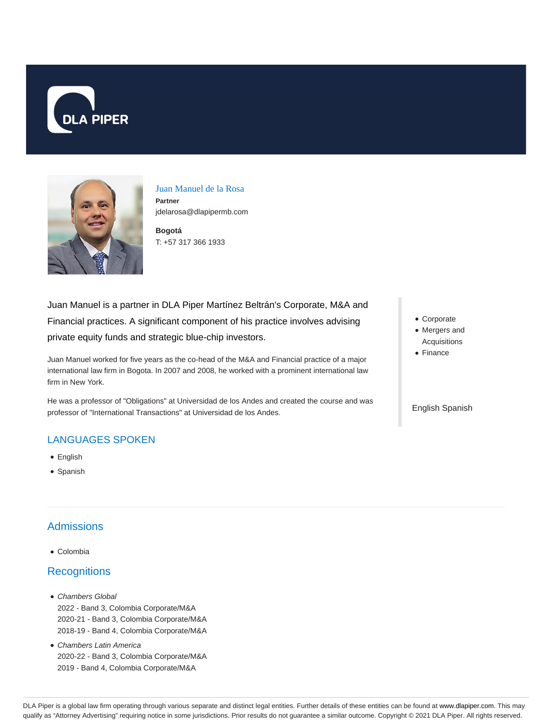



Juan Manuel de la Rosa **Partner** jdelarosa@dlapipermb.com

**Bogotá** T: +57 317 366 1933

Juan Manuel is a partner in DLA Piper Martínez Beltrán's Corporate, M&A and Financial practices. A significant component of his practice involves advising private equity funds and strategic blue-chip investors.

Juan Manuel worked for five years as the co-head of the M&A and Financial practice of a major international law firm in Bogota. In 2007 and 2008, he worked with a prominent international law firm in New York.

He was a professor of "Obligations" at Universidad de los Andes and created the course and was professor of "International Transactions" at Universidad de los Andes.

## LANGUAGES SPOKEN

- English
- Spanish

# Admissions

Colombia

## **Recognitions**

- Chambers Global 2022 - Band 3, Colombia Corporate/M&A 2020-21 - Band 3, Colombia Corporate/M&A 2018-19 - Band 4, Colombia Corporate/M&A
- Chambers Latin America 2020-22 - Band 3, Colombia Corporate/M&A 2019 - Band 4, Colombia Corporate/M&A
- Corporate
- Mergers and Acquisitions
- Finance

#### English Spanish

DLA Piper is a global law firm operating through various separate and distinct legal entities. Further details of these entities can be found at www.dlapiper.com. This may qualify as "Attorney Advertising" requiring notice in some jurisdictions. Prior results do not guarantee a similar outcome. Copyright © 2021 DLA Piper. All rights reserved.